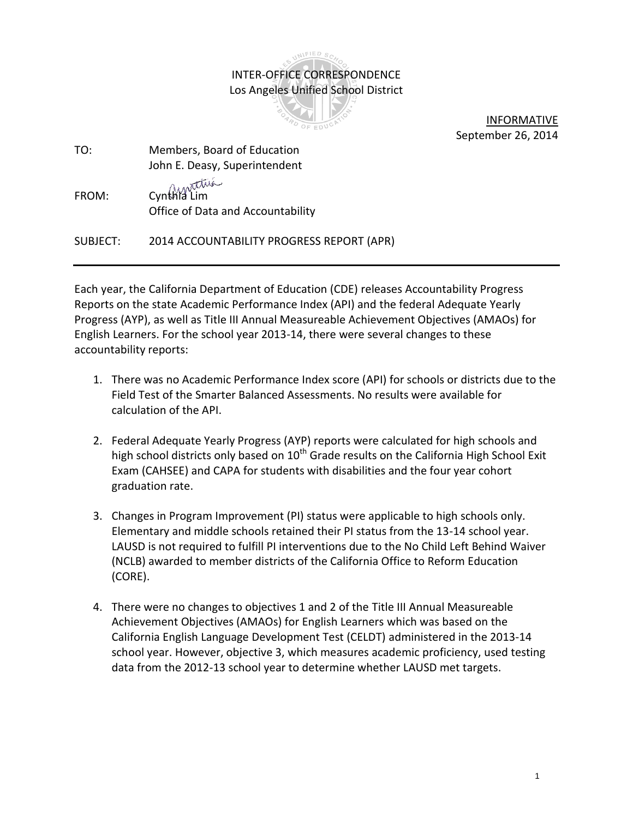INTER-OFFICE CORRESPONDENCE Los Angeles Unified School District

INIFIED SC



INFORMATIVE September 26, 2014

- TO: Members, Board of Education John E. Deasy, Superintendent
- FROM: Cynthia Lim Office of Data and Accountability

SUBJECT: 2014 ACCOUNTABILITY PROGRESS REPORT (APR)

Each year, the California Department of Education (CDE) releases Accountability Progress Reports on the state Academic Performance Index (API) and the federal Adequate Yearly Progress (AYP), as well as Title III Annual Measureable Achievement Objectives (AMAOs) for English Learners. For the school year 2013-14, there were several changes to these accountability reports:

- 1. There was no Academic Performance Index score (API) for schools or districts due to the Field Test of the Smarter Balanced Assessments. No results were available for calculation of the API.
- 2. Federal Adequate Yearly Progress (AYP) reports were calculated for high schools and high school districts only based on  $10<sup>th</sup>$  Grade results on the California High School Exit Exam (CAHSEE) and CAPA for students with disabilities and the four year cohort graduation rate.
- 3. Changes in Program Improvement (PI) status were applicable to high schools only. Elementary and middle schools retained their PI status from the 13-14 school year. LAUSD is not required to fulfill PI interventions due to the No Child Left Behind Waiver (NCLB) awarded to member districts of the California Office to Reform Education (CORE).
- 4. There were no changes to objectives 1 and 2 of the Title III Annual Measureable Achievement Objectives (AMAOs) for English Learners which was based on the California English Language Development Test (CELDT) administered in the 2013-14 school year. However, objective 3, which measures academic proficiency, used testing data from the 2012-13 school year to determine whether LAUSD met targets.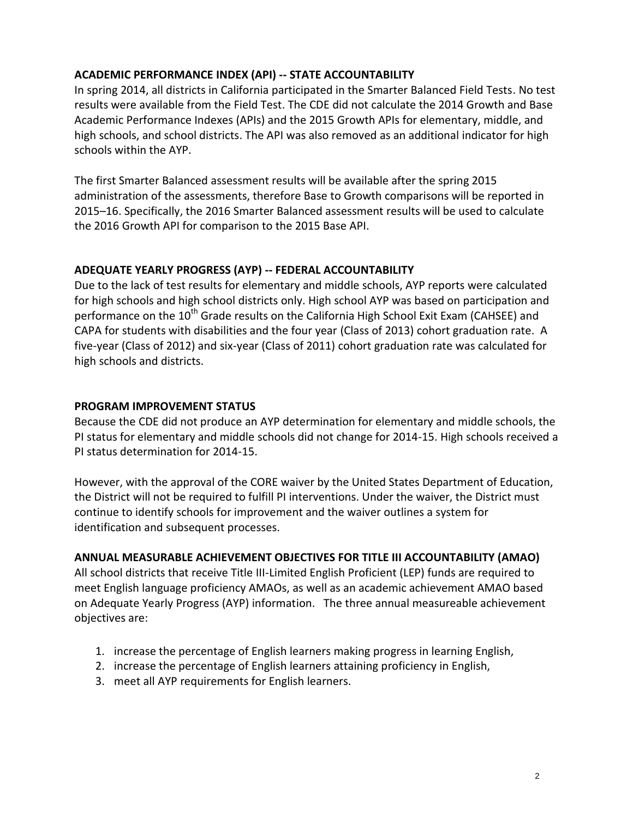### **ACADEMIC PERFORMANCE INDEX (API) -- STATE ACCOUNTABILITY**

In spring 2014, all districts in California participated in the Smarter Balanced Field Tests. No test results were available from the Field Test. The CDE did not calculate the 2014 Growth and Base Academic Performance Indexes (APIs) and the 2015 Growth APIs for elementary, middle, and high schools, and school districts. The API was also removed as an additional indicator for high schools within the AYP.

The first Smarter Balanced assessment results will be available after the spring 2015 administration of the assessments, therefore Base to Growth comparisons will be reported in 2015–16. Specifically, the 2016 Smarter Balanced assessment results will be used to calculate the 2016 Growth API for comparison to the 2015 Base API.

# **ADEQUATE YEARLY PROGRESS (AYP) -- FEDERAL ACCOUNTABILITY**

Due to the lack of test results for elementary and middle schools, AYP reports were calculated for high schools and high school districts only. High school AYP was based on participation and performance on the 10<sup>th</sup> Grade results on the California High School Exit Exam (CAHSEE) and CAPA for students with disabilities and the four year (Class of 2013) cohort graduation rate. A five-year (Class of 2012) and six-year (Class of 2011) cohort graduation rate was calculated for high schools and districts.

#### **PROGRAM IMPROVEMENT STATUS**

Because the CDE did not produce an AYP determination for elementary and middle schools, the PI status for elementary and middle schools did not change for 2014-15. High schools received a PI status determination for 2014-15.

However, with the approval of the CORE waiver by the United States Department of Education, the District will not be required to fulfill PI interventions. Under the waiver, the District must continue to identify schools for improvement and the waiver outlines a system for identification and subsequent processes.

# **ANNUAL MEASURABLE ACHIEVEMENT OBJECTIVES FOR TITLE III ACCOUNTABILITY (AMAO)**

All school districts that receive Title III-Limited English Proficient (LEP) funds are required to meet English language proficiency AMAOs, as well as an academic achievement AMAO based on Adequate Yearly Progress (AYP) information. The three annual measureable achievement objectives are:

- 1. increase the percentage of English learners making progress in learning English,
- 2. increase the percentage of English learners attaining proficiency in English,
- 3. meet all AYP requirements for English learners.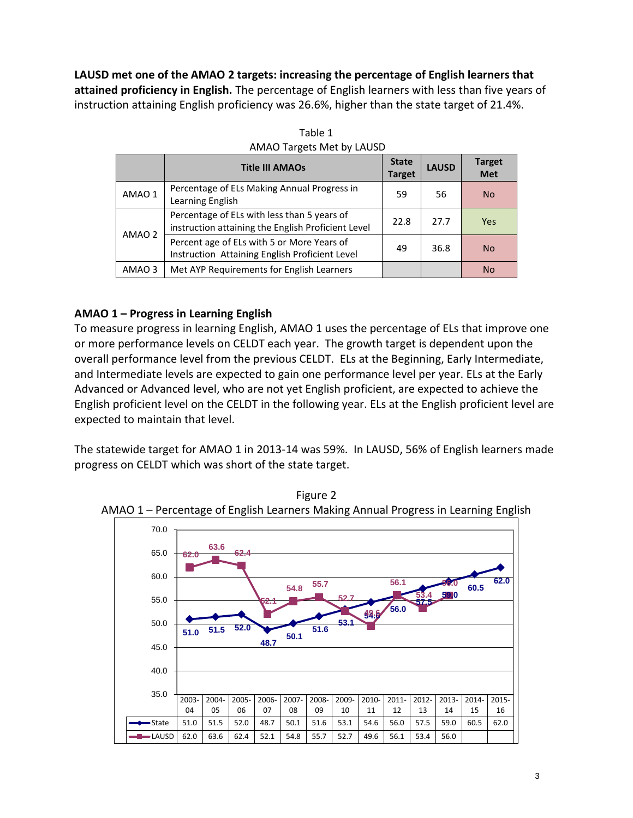**LAUSD met one of the AMAO 2 targets: increasing the percentage of English learners that attained proficiency in English.** The percentage of English learners with less than five years of instruction attaining English proficiency was 26.6%, higher than the state target of 21.4%.

|        | <b>Title III AMAOs</b>                                                                            | <b>State</b><br><b>Target</b> | <b>LAUSD</b> | <b>Target</b><br><b>Met</b> |
|--------|---------------------------------------------------------------------------------------------------|-------------------------------|--------------|-----------------------------|
| AMAO 1 | Percentage of ELs Making Annual Progress in<br>Learning English                                   | 59                            | 56           | <b>No</b>                   |
| AMAO 2 | Percentage of ELs with less than 5 years of<br>instruction attaining the English Proficient Level | 22.8                          | 27.7         | Yes                         |
|        | Percent age of ELs with 5 or More Years of<br>Instruction Attaining English Proficient Level      | 49                            | 36.8         | <b>No</b>                   |
| AMAO 3 | Met AYP Requirements for English Learners                                                         |                               |              | No                          |

| Table 1                   |  |
|---------------------------|--|
| AMAO Targets Met by LAUSD |  |
|                           |  |

# **AMAO 1 – Progress in Learning English**

To measure progress in learning English, AMAO 1 uses the percentage of ELs that improve one or more performance levels on CELDT each year. The growth target is dependent upon the overall performance level from the previous CELDT. ELs at the Beginning, Early Intermediate, and Intermediate levels are expected to gain one performance level per year. ELs at the Early Advanced or Advanced level, who are not yet English proficient, are expected to achieve the English proficient level on the CELDT in the following year. ELs at the English proficient level are expected to maintain that level.

The statewide target for AMAO 1 in 2013-14 was 59%. In LAUSD, 56% of English learners made progress on CELDT which was short of the state target.



Figure 2 AMAO 1 – Percentage of English Learners Making Annual Progress in Learning English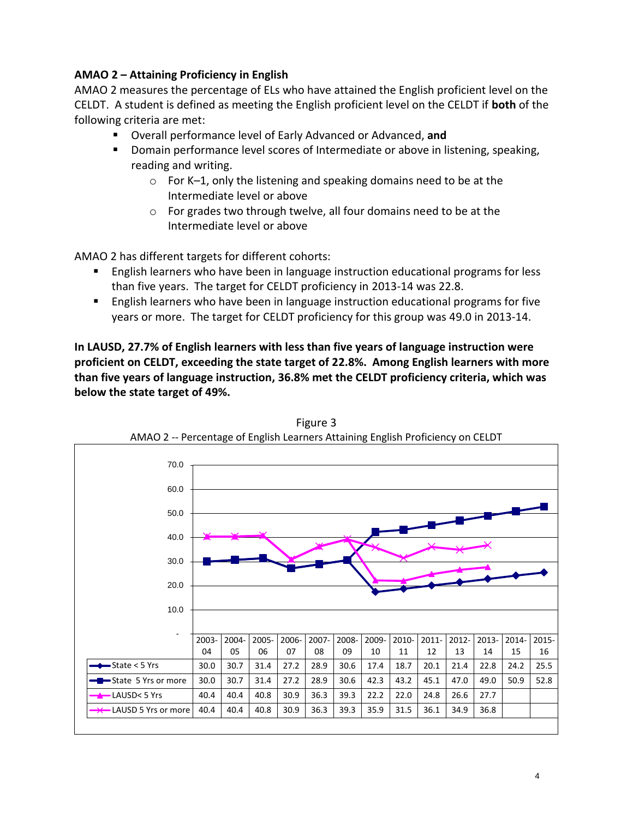# **AMAO 2 – Attaining Proficiency in English**

AMAO 2 measures the percentage of ELs who have attained the English proficient level on the CELDT. A student is defined as meeting the English proficient level on the CELDT if **both** of the following criteria are met:

- Overall performance level of Early Advanced or Advanced, **and**
- Domain performance level scores of Intermediate or above in listening, speaking, reading and writing.
	- o For K–1, only the listening and speaking domains need to be at the Intermediate level or above
	- o For grades two through twelve, all four domains need to be at the Intermediate level or above

AMAO 2 has different targets for different cohorts:

- English learners who have been in language instruction educational programs for less than five years. The target for CELDT proficiency in 2013-14 was 22.8.
- English learners who have been in language instruction educational programs for five years or more. The target for CELDT proficiency for this group was 49.0 in 2013-14.

**In LAUSD, 27.7% of English learners with less than five years of language instruction were proficient on CELDT, exceeding the state target of 22.8%. Among English learners with more than five years of language instruction, 36.8% met the CELDT proficiency criteria, which was below the state target of 49%.**



Figure 3